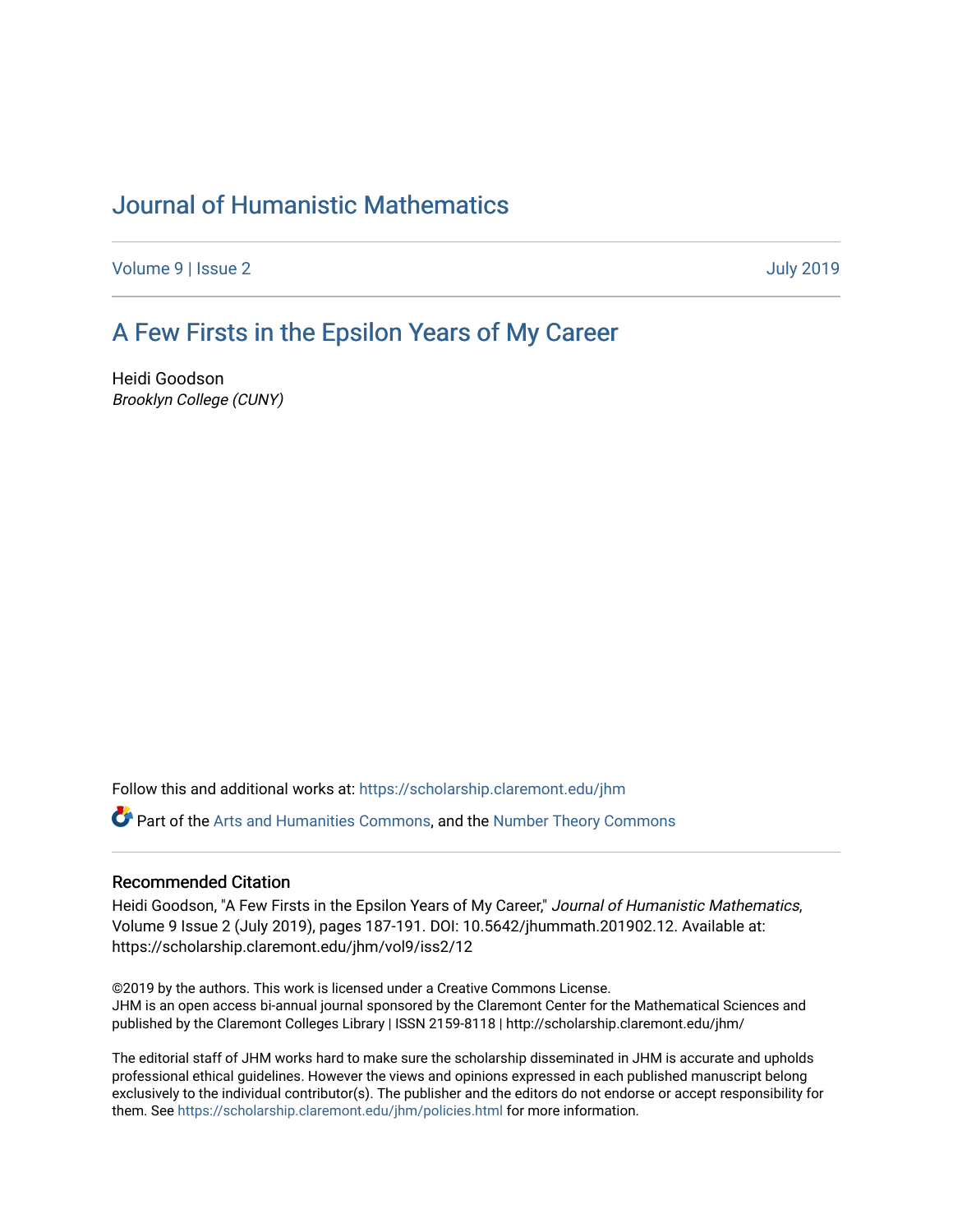# [Journal of Humanistic Mathematics](https://scholarship.claremont.edu/jhm)

[Volume 9](https://scholarship.claremont.edu/jhm/vol9) | [Issue 2](https://scholarship.claremont.edu/jhm/vol9/iss2) [July 2019](https://scholarship.claremont.edu/jhm/vol9/iss2) 

## [A Few Firsts in the Epsilon Years of My Career](https://scholarship.claremont.edu/jhm/vol9/iss2/12)

Heidi Goodson Brooklyn College (CUNY)

Follow this and additional works at: [https://scholarship.claremont.edu/jhm](https://scholarship.claremont.edu/jhm?utm_source=scholarship.claremont.edu%2Fjhm%2Fvol9%2Fiss2%2F12&utm_medium=PDF&utm_campaign=PDFCoverPages)

Part of the [Arts and Humanities Commons,](http://network.bepress.com/hgg/discipline/438?utm_source=scholarship.claremont.edu%2Fjhm%2Fvol9%2Fiss2%2F12&utm_medium=PDF&utm_campaign=PDFCoverPages) and the [Number Theory Commons](http://network.bepress.com/hgg/discipline/183?utm_source=scholarship.claremont.edu%2Fjhm%2Fvol9%2Fiss2%2F12&utm_medium=PDF&utm_campaign=PDFCoverPages)

#### Recommended Citation

Heidi Goodson, "A Few Firsts in the Epsilon Years of My Career," Journal of Humanistic Mathematics, Volume 9 Issue 2 (July 2019), pages 187-191. DOI: 10.5642/jhummath.201902.12. Available at: https://scholarship.claremont.edu/jhm/vol9/iss2/12

©2019 by the authors. This work is licensed under a Creative Commons License. JHM is an open access bi-annual journal sponsored by the Claremont Center for the Mathematical Sciences and published by the Claremont Colleges Library | ISSN 2159-8118 | http://scholarship.claremont.edu/jhm/

The editorial staff of JHM works hard to make sure the scholarship disseminated in JHM is accurate and upholds professional ethical guidelines. However the views and opinions expressed in each published manuscript belong exclusively to the individual contributor(s). The publisher and the editors do not endorse or accept responsibility for them. See<https://scholarship.claremont.edu/jhm/policies.html> for more information.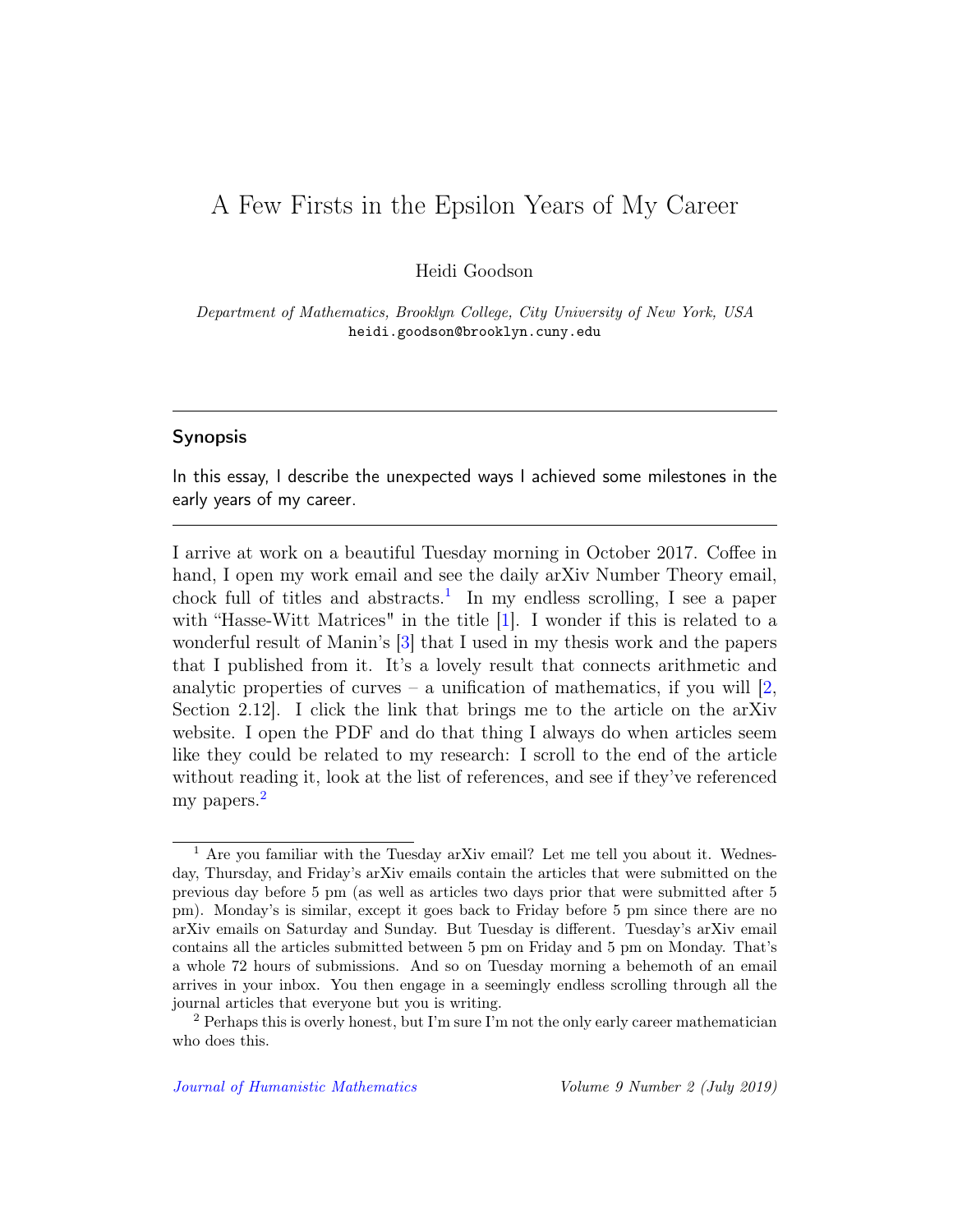## A Few Firsts in the Epsilon Years of My Career

Heidi Goodson

Department of Mathematics, Brooklyn College, City University of New York, USA heidi.goodson@brooklyn.cuny.edu

#### Synopsis

In this essay, I describe the unexpected ways I achieved some milestones in the early years of my career.

I arrive at work on a beautiful Tuesday morning in October 2017. Coffee in hand, I open my work email and see the daily arXiv Number Theory email, chock full of titles and abstracts.<sup>[1](#page-1-0)</sup> In my endless scrolling, I see a paper with "Hasse-Witt Matrices" in the title [\[1\]](#page-5-0). I wonder if this is related to a wonderful result of Manin's [\[3\]](#page-5-1) that I used in my thesis work and the papers that I published from it. It's a lovely result that connects arithmetic and analytic properties of curves – a unification of mathematics, if you will  $[2,$ Section 2.12]. I click the link that brings me to the article on the arXiv website. I open the PDF and do that thing I always do when articles seem like they could be related to my research: I scroll to the end of the article without reading it, look at the list of references, and see if they've referenced my papers.<sup>[2](#page-1-1)</sup>

<span id="page-1-0"></span><sup>1</sup> Are you familiar with the Tuesday arXiv email? Let me tell you about it. Wednesday, Thursday, and Friday's arXiv emails contain the articles that were submitted on the previous day before 5 pm (as well as articles two days prior that were submitted after 5 pm). Monday's is similar, except it goes back to Friday before 5 pm since there are no arXiv emails on Saturday and Sunday. But Tuesday is different. Tuesday's arXiv email contains all the articles submitted between 5 pm on Friday and 5 pm on Monday. That's a whole 72 hours of submissions. And so on Tuesday morning a behemoth of an email arrives in your inbox. You then engage in a seemingly endless scrolling through all the journal articles that everyone but you is writing.

<span id="page-1-1"></span><sup>&</sup>lt;sup>2</sup> Perhaps this is overly honest, but I'm sure I'm not the only early career mathematician who does this.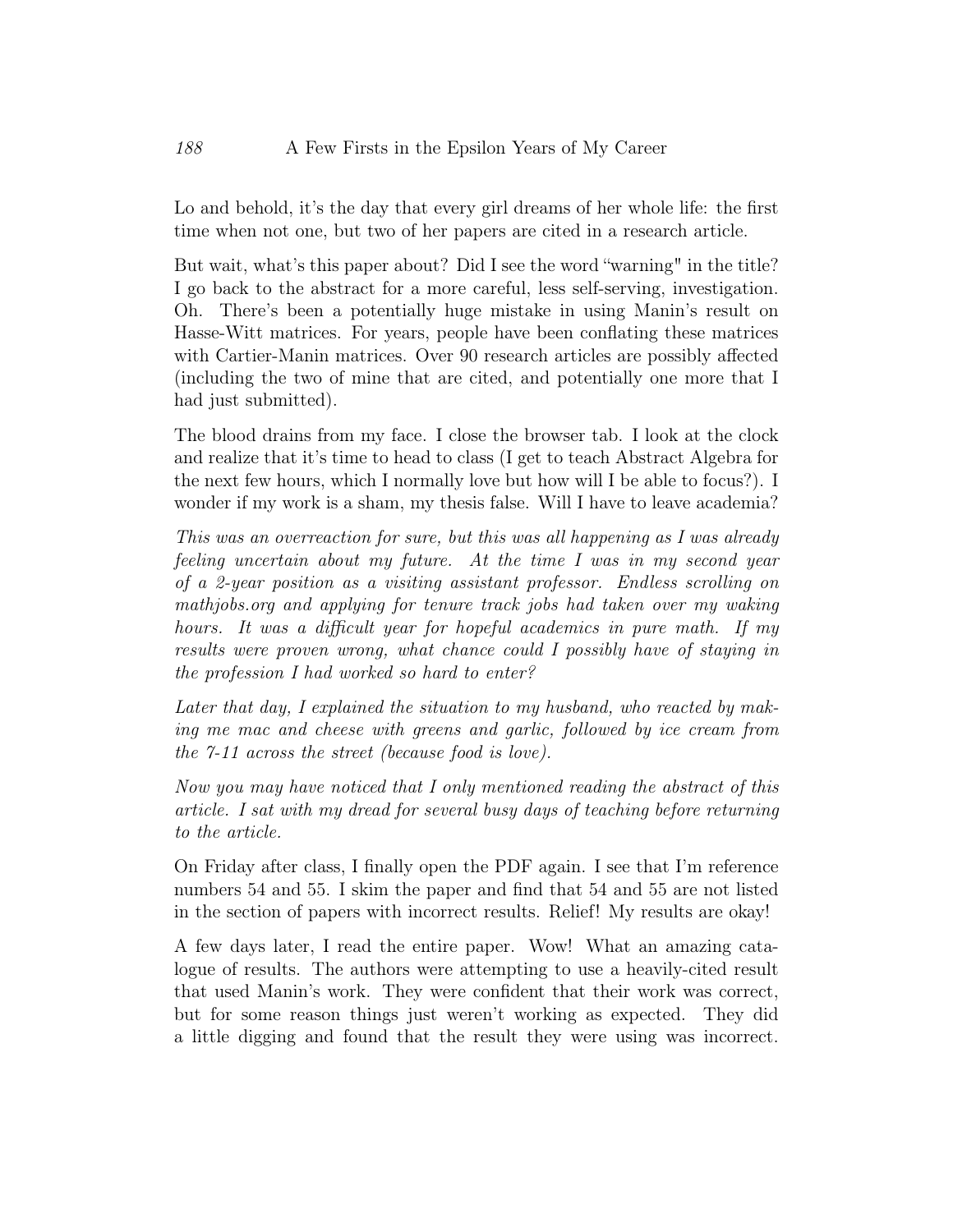Lo and behold, it's the day that every girl dreams of her whole life: the first time when not one, but two of her papers are cited in a research article.

But wait, what's this paper about? Did I see the word "warning" in the title? I go back to the abstract for a more careful, less self-serving, investigation. Oh. There's been a potentially huge mistake in using Manin's result on Hasse-Witt matrices. For years, people have been conflating these matrices with Cartier-Manin matrices. Over 90 research articles are possibly affected (including the two of mine that are cited, and potentially one more that I had just submitted).

The blood drains from my face. I close the browser tab. I look at the clock and realize that it's time to head to class (I get to teach Abstract Algebra for the next few hours, which I normally love but how will I be able to focus?). I wonder if my work is a sham, my thesis false. Will I have to leave academia?

This was an overreaction for sure, but this was all happening as I was already feeling uncertain about my future. At the time I was in my second year of a 2-year position as a visiting assistant professor. Endless scrolling on mathjobs.org and applying for tenure track jobs had taken over my waking hours. It was a difficult year for hopeful academics in pure math. If my results were proven wrong, what chance could I possibly have of staying in the profession I had worked so hard to enter?

Later that day, I explained the situation to my husband, who reacted by making me mac and cheese with greens and garlic, followed by ice cream from the 7-11 across the street (because food is love).

Now you may have noticed that I only mentioned reading the abstract of this article. I sat with my dread for several busy days of teaching before returning to the article.

On Friday after class, I finally open the PDF again. I see that I'm reference numbers 54 and 55. I skim the paper and find that 54 and 55 are not listed in the section of papers with incorrect results. Relief! My results are okay!

A few days later, I read the entire paper. Wow! What an amazing catalogue of results. The authors were attempting to use a heavily-cited result that used Manin's work. They were confident that their work was correct, but for some reason things just weren't working as expected. They did a little digging and found that the result they were using was incorrect.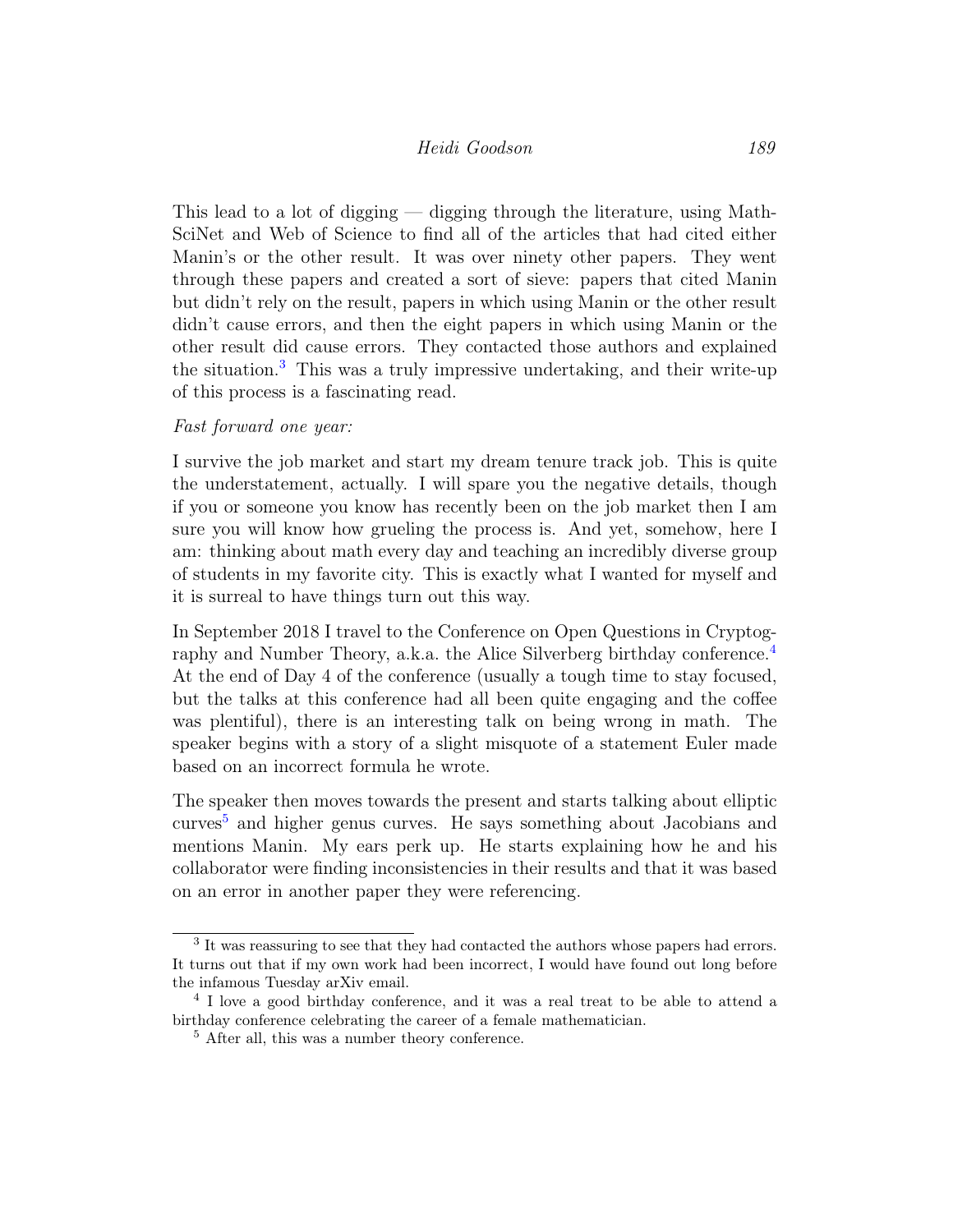### Heidi Goodson 189

This lead to a lot of digging — digging through the literature, using Math-SciNet and Web of Science to find all of the articles that had cited either Manin's or the other result. It was over ninety other papers. They went through these papers and created a sort of sieve: papers that cited Manin but didn't rely on the result, papers in which using Manin or the other result didn't cause errors, and then the eight papers in which using Manin or the other result did cause errors. They contacted those authors and explained the situation.[3](#page-3-0) This was a truly impressive undertaking, and their write-up of this process is a fascinating read.

#### Fast forward one year:

I survive the job market and start my dream tenure track job. This is quite the understatement, actually. I will spare you the negative details, though if you or someone you know has recently been on the job market then I am sure you will know how grueling the process is. And yet, somehow, here I am: thinking about math every day and teaching an incredibly diverse group of students in my favorite city. This is exactly what I wanted for myself and it is surreal to have things turn out this way.

In September 2018 I travel to the Conference on Open Questions in Cryptog-raphy and Number Theory, a.k.a. the Alice Silverberg birthday conference.<sup>[4](#page-3-1)</sup> At the end of Day 4 of the conference (usually a tough time to stay focused, but the talks at this conference had all been quite engaging and the coffee was plentiful), there is an interesting talk on being wrong in math. The speaker begins with a story of a slight misquote of a statement Euler made based on an incorrect formula he wrote.

The speaker then moves towards the present and starts talking about elliptic curves[5](#page-3-2) and higher genus curves. He says something about Jacobians and mentions Manin. My ears perk up. He starts explaining how he and his collaborator were finding inconsistencies in their results and that it was based on an error in another paper they were referencing.

<span id="page-3-0"></span><sup>&</sup>lt;sup>3</sup> It was reassuring to see that they had contacted the authors whose papers had errors. It turns out that if my own work had been incorrect, I would have found out long before the infamous Tuesday arXiv email.

<span id="page-3-1"></span><sup>&</sup>lt;sup>4</sup> I love a good birthday conference, and it was a real treat to be able to attend a birthday conference celebrating the career of a female mathematician.

<span id="page-3-2"></span><sup>5</sup> After all, this was a number theory conference.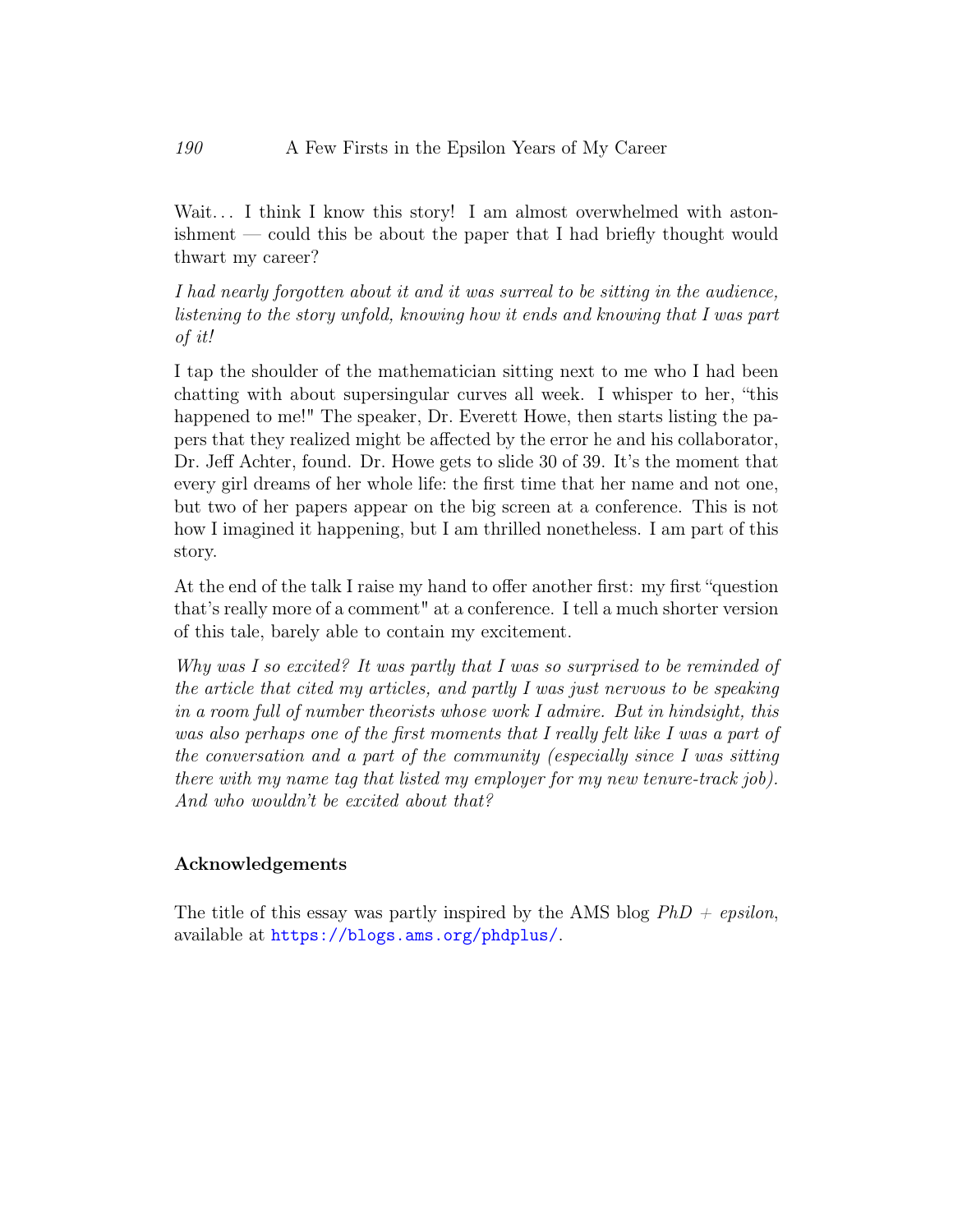Wait... I think I know this story! I am almost overwhelmed with astonishment — could this be about the paper that I had briefly thought would thwart my career?

I had nearly forgotten about it and it was surreal to be sitting in the audience, listening to the story unfold, knowing how it ends and knowing that I was part of it!

I tap the shoulder of the mathematician sitting next to me who I had been chatting with about supersingular curves all week. I whisper to her, "this happened to me!" The speaker, Dr. Everett Howe, then starts listing the papers that they realized might be affected by the error he and his collaborator, Dr. Jeff Achter, found. Dr. Howe gets to slide 30 of 39. It's the moment that every girl dreams of her whole life: the first time that her name and not one, but two of her papers appear on the big screen at a conference. This is not how I imagined it happening, but I am thrilled nonetheless. I am part of this story.

At the end of the talk I raise my hand to offer another first: my first "question that's really more of a comment" at a conference. I tell a much shorter version of this tale, barely able to contain my excitement.

Why was I so excited? It was partly that I was so surprised to be reminded of the article that cited my articles, and partly I was just nervous to be speaking in a room full of number theorists whose work I admire. But in hindsight, this was also perhaps one of the first moments that I really felt like I was a part of the conversation and a part of the community (especially since I was sitting there with my name tag that listed my employer for my new tenure-track job). And who wouldn't be excited about that?

### Acknowledgements

The title of this essay was partly inspired by the AMS blog  $PhD + epsilon$ , available at <https://blogs.ams.org/phdplus/>.